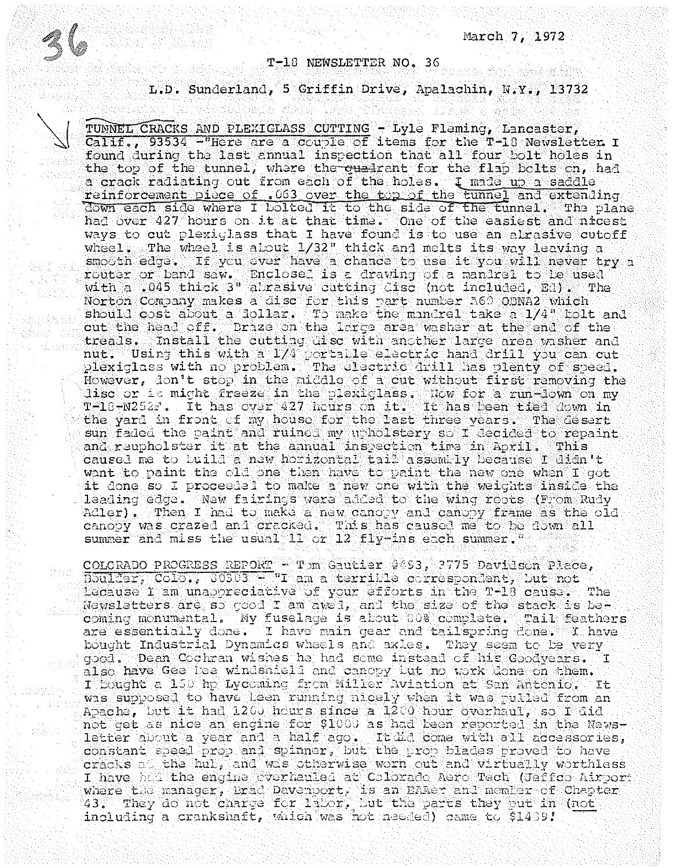### T-18 NEWSLETTER NO. 36

13 Andrés

ri elémet

### L.D. Sunderland, 5 Griffin Drive, Apalachin, N.Y., 13732

TUNNEL CRACKS AND PLEXICLASS CUTTING - Lyle Fleming, Lancaster, Calif., 93534 - Here are a couple of items for the T-18 Newsletter. I found during the last annual inspection that all four bolt holes in the top of the tunnel, where the quadrant for the flap bolts on, had a crack radiating out from each of the holes. I made up a saddle reinforcement piece of .063 over the top of the tunnel and extending down each side where I bolted it to the side of the tunnel. The plane had over 427 hours on it at that time. One of the easiest and nicest ways to out plexiglass that I have found is to use an alrasive cutoff wheel. The wheel is about 1/32" thick and melts its way leaving a smooth edge. If you ever have a chance to use it you will never try a router or band saw. Enclosed is a drawing of a mandrel to be used with a .045 thick 3" abresive cutting disc (not included, Ed). The Norton Company makes a disc for this part number A60 00NA2 which<br>should cost about a dollar. To make the mandrel take a 1/4" bolt and cut the head off. Braze on the large area washer at the and of the treads. Install the cutting disc with another large area when and nut. Using this with a 1/4 pertaile electric hand drill you can cut plexiglass with no problem. The electric drill has plenty of speed. However, don't stop in the middle of a cut without first removing the lisc or it might freeze in the plexiglass. How for a run-lown on my T-18-N252F. It has over 427 hours on it. It has been tied down in the yard in front of my house for the last three years. The desert sun faded the paint and ruined my upholstery so I decided to repaint and reupholster it at the annual inspection time in April. This caused me to build a new horizontal tail assembly because I didn't want to paint the old one then have to paint the new one when I got it done so I proceeded to make a new one with the weights inside the leading edge. New fairings were added to the wing roots (From Rudy Adler). Then I had to make a new canopy and canopy frame as the old canopy was crazed and cracked. This has caused me to be down all summer and miss the usual 11 or 12 fly-ins each summer."

COLCRADO PROGRESS REPORT - Tom Gautier #493, 3775 Davidson Place, Boulder, Colo., 30303 - "I am a terrible correspondent, but not Lecause I am unappreciative of your efforts in the T-13 cause. The Newsletters are so good I am awed, and the size of the stack is becoming monumental. My fuselage is about 00% complete. Tail feathers are essentially done. I have main gear and tailspring done. I have bought Industrial Dynamics wheels and axles. They seem to be very good. Dean Cochran wishes he had some instead of his Goodvears.  $\mathbf{T}$ also have Gee lee windshield and canopy lut no work done on them. I bought a 150 hp Lycoming from Milier Aviation at San Antenio. It was supposed to have been running nicely when it was pulled from an Apache, but it had 1200 hours since a 1200 hour overhaul, so I did not get as nice an engine for \$1000 as had been reported in the Newsletter about a year and a half ago. It id come with all accessories, constant speed prop and spinner, but the prop blades proved to have cracks at the hul, and was otherwise worn out and virtually worthless I have had the engine everhauled at Colorado Aero Tech (Jeffco Airport where the manager, Drad Davenport, is an EAAer and member of Chapter 43. They do not charge for labor, but the parts they put in (not including a crankshaft, which was not needed) came to \$1439!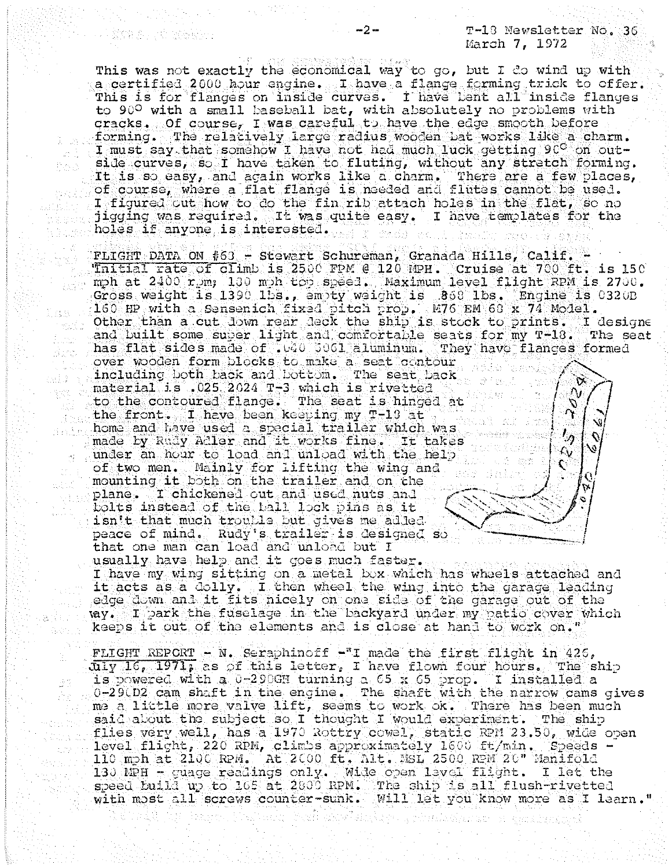T-13 Newsletter No. 36 March 7, 1972

ل ولايت This was not exactly the economical way to go, but I do wind up with a certified 2000 hour engine. I have a flange forming trick to offer. This is for flanges on inside curves. I have bent all inside flanges to 90<sup>0</sup> with a small baseball bat, with absolutely no problems with cracks. Of course, I was careful to have the edge smooth before forming. The relatively large radius wooden bat works like a charm. I must say that somehow I have not had much luck getting 90° on outside curves, so I have taken to fluting, without any stretch forming. It is so easy, and again works like a charm. There are a few places, of course, where a flat flange is needed and flutes cannot be used. I figured out how to do the fin rib attach holes in the flat, so no jigging was required. It was quite easy. I have templates for the holes if anyone is interested.

FLIGHT DATA ON #63 - Stewart Schureman, Granada Hills, Calif. -Thitlal rate of climb is 2500 FPM @ 120 MPH. Cruise at 700 ft. is 150 mph at 2400 r.m; 130 mph top speed. Maximum level flight RPM is 2700. Gross weight is 1390 1bs., empty weight is 868 1bs. Engine is 0320B 160 HP with a Sensenich fixed pitch prop. M76 EM 68 x 74 Model. Other than a cut Jown rear deck the ship is stock to prints. I designe<br>and built some super light and comfortable seats for my T-18. The seat<br>has flat sides made of .040 5061 aluminum. They have flanges formed over wooden form blocks to make a seat contour including both back and bottom. The seat back<br>material is .025 2024 T-3 which is rivetted to the contoured flange. The seat is hinged at the front. I have been keeping my T-19 at home and have used a special trailer which was made by Rudy Adler and it works fine. It takes  $\zeta_{\rm V}$ under an hour to load and unload with the help of two men. Mainly for lifting the wing and<br>mounting it both on the trailer and on the plane. I chickened out and used nuts and bolts instead of the ball lock pins as it isn't that much trouble but gives me added. peace of mind. Rudy's trailer is designed so that one man can load and unload but I usually have help and it goes much faster.

I have my wing sitting on a metal box which has wheels attached and it acts as a dolly. I then wheel the wing into the garage leading edge down and it fits nicely on one side of the garage out of the way. I park the fuselage in the backyard under my patio cover which keeps it out of the elements and is close at hand to work on."

FLIGHT REPORT - N. Seraphinoff -"I made the first flight in 426,  $\overline{u}$ ly 16, 1971; as of this letter, I have flown four hours. The ship is powered with a 0-290GH turning a 65 x 65 prop. I installed a 0-290D2 cam shaft in the engine. The shaft with the narrow cams gives me a little more valve lift, seems to work ok. There has been much said about the subject so I thought I would experiment. The ship flies very well, has a 1970 Rottry cowel, static RPM 23.50, wide open level flight, 220 RPM, climbs approximately 1600 ft/min. Speeds - 110 mph at 2100 RPM. At 2000 ft. Alt. MsL 2500 RPM 20" Manifold 130 MPH - guage readings only. Wide open level flight. I let the speed build up to 165 at 2800 RPM. The ship is all flush-rivetted with most all screws counter-sunk. Will let you know more as I learn."

호호형 회사 너는 눈소리를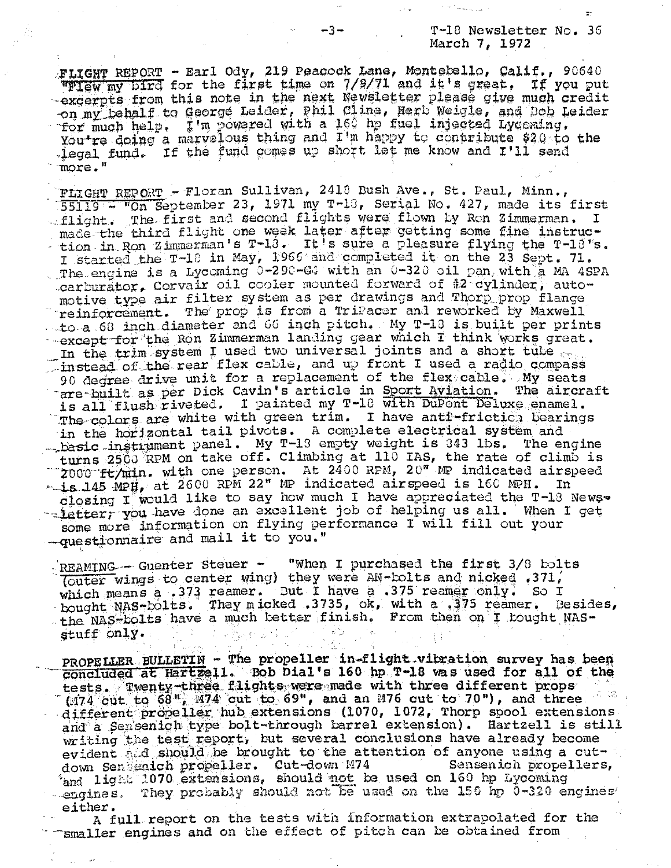FLIGHT REPORT - Earl Ody, 219 Peacock Lane, Montebello, Calif., 90640 "Flew my bird for the first time on 7/9/71 and it's great. If you put -excerpts from this note in the next Newsletter please give much credit on my behalf to George Leider, Phil Cline, Herb Weigle, and Dob Leider for much help. I'm powered with a 160 hp fuel injected Lyceming. you're doing a marvelous thing and I'm happy to contribute \$20 to the legal fund. If the fund comes up short let me know and I'll send " more."

FLIGHT REPORT - Floran Sullivan, 2410 Bush Ave., St. Paul, Minn., 55119 - "On September 23, 1971 my T-18, Serial No. 427, made its first . flight. The first and second flights were flown by Ron Zimmerman. I made the third flight one week later after getting some fine instruc-<br>tion in Ron Zimmerman's T-13. It's sure a pleasure flying the T-13's. I started the T-12 in May, 1966 and completed it on the 23 Sept. 71. The engine is a Lycoming 0-290-64 with an 0-320 oil pan, with a MA 4SPA carburator, Corvair oil cooler mounted forward of #2 cylinder, automotive type air filter system as per drawings and Thorp prop flange reinforcement. The prop is from a TriPacer and reworked by Maxwell . to a 68 inch diameter and 66 inch pitch. My T-18 is built per prints except for the Ron Zimmerman landing gear which I think works great. In the trim system I used two universal joints and a short tube instead of the rear flex cable, and up front I used a radio compass 90 degree drive unit for a replacement of the flex cable. My seats are built as per Dick Cavin's article in Sport Aviation. The aircraft is all flush riveted. I painted my T-18 with DuPont Deluxe enamel. The colors are white with green trim. I have anti-friction bearings in the horizontal tail pivots. A complete electrical system and - basic institument panel. My T-13 empty weight is 343 lbs. The engine turns 2500 RPM on take off. Climbing at 110 IAS, the rate of climb is<br>2000 Ft/min. with one person. At 2400 RPM, 20" MP indicated airspeed -is 145 MPH, at 2600 RPM 22" MP indicated airspeed is 160 MPH. In closing I would like to say how much I have appreciated the T-13 News--letter, you have done an excellent job of helping us all. When I get some more information on flying performance I will fill out your -questionnaire and mail it to you."

REAMING - Guenter Steuer -"When I purchased the first 3/8 bolts (outer wings to center wing) they were AN-bolts and nicked .371, which means a .373 reamer. Dut I have a .375 reamer only. So I bought NAS-bolts. They micked .3735, ok, with a .375 reamer. Besides, the NAS-bolts have a much better finish. From then on I bought NASstuff only.

PROPELLER BULLETIN - The propeller in-flight vibration survey has been concluded at Hartzell. Bob Dial's 160 hp T-18 was used for all of the tests. Twenty-three flights were made with three different props  $(474$  cut to  $68$ <sup>16</sup>,  $M74$  cut to  $69$ <sup>1</sup>, and an M76 cut to 70<sup>1</sup>), and three. different propeller hub extensions (1070, 1072, Thorp spool extensions and a Sensenich type bolt-through barrel extension). Hartzell is still writing the test report, but several conclusions have already become evident and should be brought to the attention of anyone using a cutdown Sensenich propeller. Cut-down M74 Sensenich propellers, and light 1070 extensions, should not be used on 160 hp Lycoming -engines. They probably should not be used on the 150 hp 0-320 engines either.

A full report on the tests with information extrapolated for the -smaller engines and on the effect of pitch can be obtained from

-3-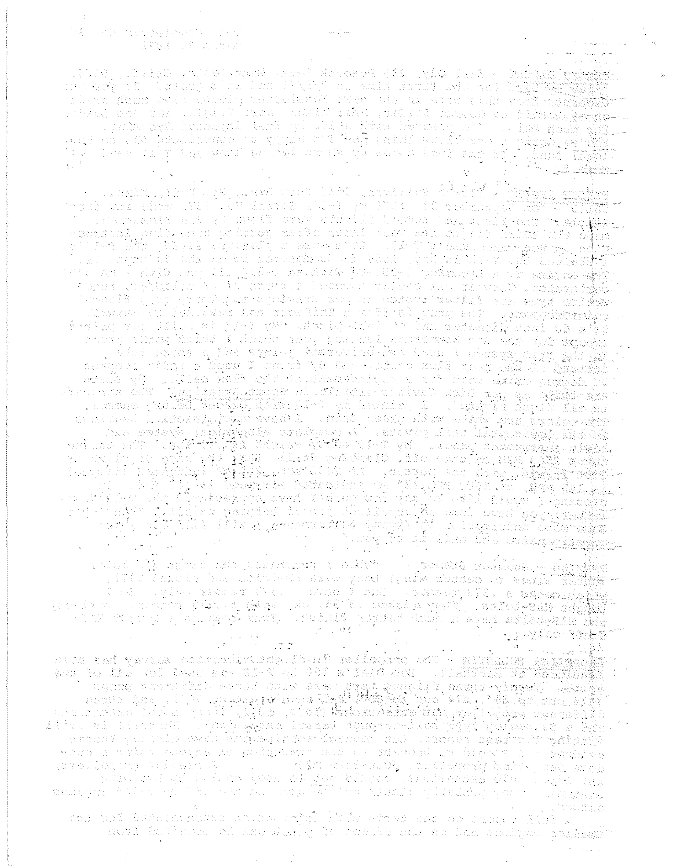医希尔氏试验 化氯化合物医氯化合物 人名科尔 医紫色蛋白质素 以上的 计分类

ažetno sposto – čezi oly, 189, 96 morský federacky (z 1958)<br>Martin 1897–1997 (zr. 184 filmsk Flar en Petzer ar Server (z 196 metar) re a composición de la construcción de la construcción de la construcción de la construcción de la construcció<br>Construcción de la construcción de la construcción de la construcción de la construcción de la construcción de Tyman aya denderpak terdi yi Tal ti Brizi dénge di 1990. THE COMPANY WAS LI 1, André Bra t to kan present that gained as second as a lifekt community who knows to be contained and gain  $\gamma$ is de alle

e a composition de la constitution de la constitution de la composition de la composition de la composition de<br>La composition de la composition de la composition de la composition de la composition de la composition de la moons wil pulp an mortsten weddo avani, Soyy gho aniw 13 hales with alse a 1910 ya Marekani ya Marekani ya Marekani ya Marekani ya Marekani ya Marekani ya Marekani ya Marekani ya Mare den die gegen zu der den die staat die produktie dat die eerste die gegende van die gegene van die stellings w aterarake Sak 

 $\mathcal{P}=\mathcal{P}(\mathcal{E})$ og og tan fæ<del>lg</del>

stes ted verves refreshvedne i San atlager og v pittalig spiring pro to 11. vol laur sev di-tigo dil s'iald del . . la stritut va tabulante antik galamat dan sebagai katan dan banyak terbagai dan sebagai dan sebagai dan ke stra s prito contra la portioname allo per bancos p as red leapting and cools of the compact of \$10 moderns. Of a map beginning depths and comple Tilge stødges i sem målade år andre av internation ordet skomment i en en det att stor take bende e.<br>Angens av ses stortet og til for att andet sen storte samme skore som en en storte ske stortet over mort  $\sim 71.4$  km (Gams  $\mathcal{L}^{(1)}\left(\mathcal{L}^{(1)}\right)\geq\mathcal{L}^{(1)}\left(\mathcal{L}^{(1)}\right)\geq\mathcal{L}^{(1)}\left(\mathcal{L}^{(1)}\right)$ 

send next technics contain an increased in the extract can conseque which is ment for the see the smoother's lettershed all models and the second second second set

 $\langle \sigma \rangle$  on  $\sigma \ll \sigma_{\rm eff}$  . The same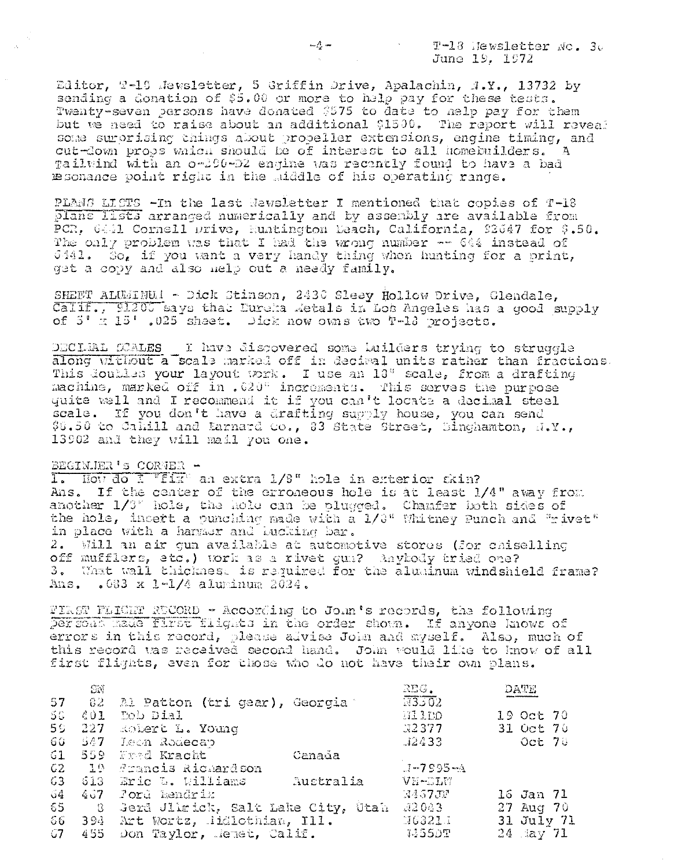Editor, T-16 Newsletter, 5 Griffin Drive, Apalachin, J.Y., 13732 by sending a donation of \$5.00 or more to help pay for these tests. Twenty-seven persons have donated \$575 to date to help pay for them but we need to raise about an additional \$1500. The report will reveal some surprising things about propeller extensions, engine timing, and cut-down props which should be of interest to all homebuilders. A pailwind with an o-200-02 engine was recently found to have a bad resonance point right in the middle of his operating range.

PLANS LISTS -In the last Hewsletter I mentioned that copies of T-18 plans lists arranged numerically and by assembly are available from PCR, 64.1 Cornell prive, Euntington Daach, California, 92647 for \$.50. The only problem was that I had the wrong number -- 644 instead of 3441. So, if you want a very handy thing when hunting for a print, get a copy and also nelp out a needy family.

SHEET ALUMINUM - Dick Stinson, 2430 Sleey Hollow Drive, Glendale, Calif., 91205 says that Eurelia Metals in Lob Angeles has a good supply of 5' x 15' .025 sheet. Dick now owns two T-18 projects.

DECLIAL MALES I have discovered some builders trying to struggle along without a scale marked off in decimal units rather than fractions. This Joukles your layout work. I use an 13" scale, from a drafting machine, marked off in .020" increments. This serves the purpose quite well and I recommend it if you can't locate a decimal steel scale. If you don't have a drafting supply house, you can send \$8.50 to Cahill and Earnard Co., 33 State Street, Binghamton, N.Y., 13902 and they will mail you one.

### BEGINJER'S CORMER -

1. How do I "fix" an extra 1/8" hole in exterior skin? Ans. If the center of the erroneous hole is at least 1/4" away from another 1/3" hole, the hole can be plugged. Chamfer both sides of the hole, insert a punching made with a 1/3" Whitney Punch and "givet" in place with a harmer and lucking bar. 2. Will an air gun available at automotive stores (Sor chiselling off mufflers, etc.) work as a rivet gun? Anybody tried one? 3. What wall thicknest is required for the aluminum windshield frame? Ans. . 033 x 1-1/4 aluminum 2024.

FIRST FLICKE RUCORD - According to John's records, the following persons made first flights in the order shown. If anyone knows of errors in this record, please advise John and myself. Also, much of this record was received second hand. John would like to know of all first flights, even for those who do not have their own plans.

|                | -91   |                                      | REG.          | DATE            |
|----------------|-------|--------------------------------------|---------------|-----------------|
| 57             |       | 62 Al Patton (tri gear), Georgia     | 133202        |                 |
| 56.            |       | 401 Cob Dial                         | EGILDO        | 19 Oct 70       |
| 59.            | - 227 | Robert L. Young                      | 32377         | 31 Oct 70       |
| 60             |       | 547 Leca Rodecap                     | $-12433$      | Oct 70          |
| 61             |       | 559 Fred Kracht<br>Canada            |               |                 |
| C2             |       | $19$ francis Richardson              | $7 - 795 - 4$ |                 |
| $63 -$         |       | 613 Sric L. Williams<br>Australia    | VH-DLV        |                 |
| 04             |       | -467 Ford hendrik                    | N457JF        | 16 Jan 71       |
| -65            | - 8   | - Gerd Jllmick, Salt Lake City, Utah | $.32043 -$    | $27$ Aug $70$   |
| -56            |       | 394 Art Wortz, lidlothian, Ill.      | [36321.1]     | 31 July 71      |
| $\mathcal{C}7$ |       | 455 Don Taylor, Remet, Calif.        | 1455DT        | $24$ $18y$ $71$ |
|                |       |                                      |               |                 |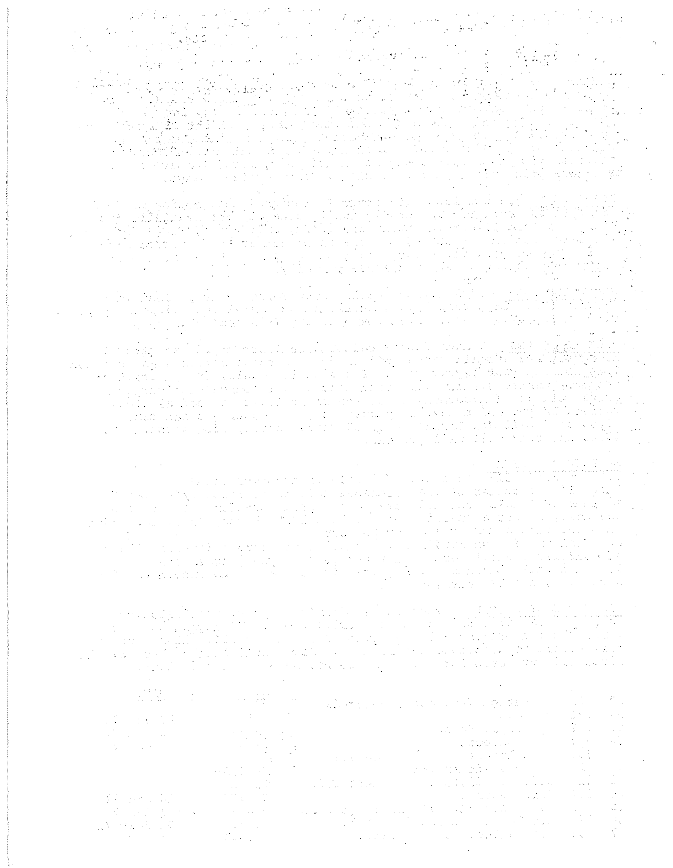an an an A

 $\frac{1}{2}$  ,  $\frac{1}{2}$  $\sim 10^{-1}$ 

 $\mathcal{L}_{\mathbf{w}}\mathbf{t}_{\mathbf{w}}$  ,  $\mathcal{L}_{\mathbf{w}}$ 

 $\Delta \phi = 0.002$  .

e and a called the collection of the state.<br>The collection of the collection of the collection of the collection of the collection of the collection of th<br>The South of the collection of the collection of the collection of  $\alpha$  ,  $\beta$  ,  $\beta$  ,  $\beta$  ,  $\beta$  ,  $\beta$ general en la<br>C  $\chi^2/\Omega$ 

|                                                                                                                                                                                                                                                                                                                                                                        | $\label{eq:2} \mathcal{A}(\mathcal{A}) = \frac{1}{\mathcal{B}} \frac{\mathcal{A}(\mathcal{A})}{\mathcal{B}} \quad \text{and} \quad \mathcal{A}(\mathcal{A})$                                                                                                                                                                                                                                                                                                                                                                                                                                                                                                                                                                                                                                                                                                                                                                   |                                                                                                                                                                                                                                                                                                                                                                                                                                              | あないかとう ハード・スページ かんしゅん めおとし                                                                                                                                                                                                                                                                                                                                                                                                                                                                                                                                                                                                                                                                                                                                                                                                                                                                                                                                                                                                                                                                                                                                                                                                                                  | $\label{eq:3.1} \frac{1}{\sqrt{2\pi}}\sum_{\alpha\in\mathbb{Z}}\frac{1}{\sqrt{2\pi}}\sum_{\alpha\in\mathbb{Z}}\frac{1}{\sqrt{2\pi}}\sum_{\alpha\in\mathbb{Z}}\frac{1}{\sqrt{2\pi}}\sum_{\alpha\in\mathbb{Z}}\frac{1}{\sqrt{2\pi}}\sum_{\alpha\in\mathbb{Z}}\frac{1}{\sqrt{2\pi}}\sum_{\alpha\in\mathbb{Z}}\frac{1}{\sqrt{2\pi}}\sum_{\alpha\in\mathbb{Z}}\frac{1}{\sqrt{2\pi}}\sum_{\alpha\in\mathbb{Z}}\frac{1}{\sqrt{2\pi$ |  |
|------------------------------------------------------------------------------------------------------------------------------------------------------------------------------------------------------------------------------------------------------------------------------------------------------------------------------------------------------------------------|--------------------------------------------------------------------------------------------------------------------------------------------------------------------------------------------------------------------------------------------------------------------------------------------------------------------------------------------------------------------------------------------------------------------------------------------------------------------------------------------------------------------------------------------------------------------------------------------------------------------------------------------------------------------------------------------------------------------------------------------------------------------------------------------------------------------------------------------------------------------------------------------------------------------------------|----------------------------------------------------------------------------------------------------------------------------------------------------------------------------------------------------------------------------------------------------------------------------------------------------------------------------------------------------------------------------------------------------------------------------------------------|-------------------------------------------------------------------------------------------------------------------------------------------------------------------------------------------------------------------------------------------------------------------------------------------------------------------------------------------------------------------------------------------------------------------------------------------------------------------------------------------------------------------------------------------------------------------------------------------------------------------------------------------------------------------------------------------------------------------------------------------------------------------------------------------------------------------------------------------------------------------------------------------------------------------------------------------------------------------------------------------------------------------------------------------------------------------------------------------------------------------------------------------------------------------------------------------------------------------------------------------------------------|------------------------------------------------------------------------------------------------------------------------------------------------------------------------------------------------------------------------------------------------------------------------------------------------------------------------------------------------------------------------------------------------------------------------------|--|
| $14 - 18 - 14$                                                                                                                                                                                                                                                                                                                                                         | (人) おおとこ しょうしん                                                                                                                                                                                                                                                                                                                                                                                                                                                                                                                                                                                                                                                                                                                                                                                                                                                                                                                 |                                                                                                                                                                                                                                                                                                                                                                                                                                              | $\mathcal{L}^{\mathcal{A}}(\mathcal{A})$ and the set of the set of the set of the set of the set of the set of the set of the set of the set of the set of the set of the set of the set of the set of the set of the set of the set of the set<br>$\label{eq:1} \mathcal{L}^{\mathcal{A}}_{\mathcal{A}}(\mathcal{A},\mathcal{A}) = \mathcal{L}^{\mathcal{A}}_{\mathcal{A}}(\mathcal{A},\mathcal{A}) = \mathcal{L}^{\mathcal{A}}_{\mathcal{A}}(\mathcal{A},\mathcal{A}) = \mathcal{L}^{\mathcal{A}}_{\mathcal{A}}(\mathcal{A},\mathcal{A})$                                                                                                                                                                                                                                                                                                                                                                                                                                                                                                                                                                                                                                                                                                                 | the company of the company of<br>$Y_{\rm eff}$ and $\alpha$ is a second contribution                                                                                                                                                                                                                                                                                                                                         |  |
| $\label{eq:2.1} \frac{1}{2}\sum_{i=1}^n\frac{1}{2\pi}\sum_{j=1}^n\frac{1}{2\pi\sqrt{2\pi}}\sum_{j=1}^n\frac{1}{2\pi\sqrt{2\pi}}\sum_{j=1}^n\frac{1}{2\pi\sqrt{2\pi}}\sum_{j=1}^n\frac{1}{2\pi\sqrt{2\pi}}\sum_{j=1}^n\frac{1}{2\pi\sqrt{2\pi}}\sum_{j=1}^n\frac{1}{2\pi\sqrt{2\pi}}\sum_{j=1}^n\frac{1}{2\pi\sqrt{2\pi}}\sum_{j=1}^n\frac{1}{2\pi\sqrt{$<br>いない しょせいしゃ | $\label{eq:2.1} \frac{1}{2} \left( \frac{1}{2} \sum_{i=1}^n \frac{1}{2} \sum_{j=1}^n \frac{1}{2} \sum_{j=1}^n \frac{1}{2} \sum_{j=1}^n \frac{1}{2} \sum_{j=1}^n \frac{1}{2} \sum_{j=1}^n \frac{1}{2} \sum_{j=1}^n \frac{1}{2} \sum_{j=1}^n \frac{1}{2} \sum_{j=1}^n \frac{1}{2} \sum_{j=1}^n \frac{1}{2} \sum_{j=1}^n \frac{1}{2} \sum_{j=1}^n \frac{1}{2} \sum$<br>$\label{eq:2.1} \mathcal{L}(\mathcal{L}^{\mathcal{L}}(\mathcal{L}^{\mathcal{L}}(\mathcal{L}^{\mathcal{L}}(\mathcal{L}^{\mathcal{L}}(\mathcal{L}^{\mathcal{L}}(\mathcal{L}^{\mathcal{L}}(\mathcal{L}^{\mathcal{L}}(\mathcal{L}^{\mathcal{L}}(\mathcal{L}^{\mathcal{L}}(\mathcal{L}^{\mathcal{L}}(\mathcal{L}^{\mathcal{L}}(\mathcal{L}^{\mathcal{L}}(\mathcal{L}^{\mathcal{L}}(\mathcal{L}^{\mathcal{L}}(\mathcal{L}^{\mathcal{L}}(\mathcal{L}^{\mathcal$                                                                                                   | アンティー しゅうしょう アール・エス ないきょう                                                                                                                                                                                                                                                                                                                                                                                                                    | $\label{eq:2.1} \mathcal{L}(\mathcal{L}^{\mathcal{L}}_{\mathcal{L}}(\mathcal{L}^{\mathcal{L}}_{\mathcal{L}}(\mathcal{L}^{\mathcal{L}}_{\mathcal{L}}(\mathcal{L}^{\mathcal{L}}_{\mathcal{L}}(\mathcal{L}^{\mathcal{L}}_{\mathcal{L}}(\mathcal{L}^{\mathcal{L}}_{\mathcal{L}}(\mathcal{L}^{\mathcal{L}}_{\mathcal{L}})))\otimes \mathcal{L}^{\mathcal{L}}_{\mathcal{L}}(\mathcal{L}^{\mathcal{L}}_{\mathcal{L}}(\mathcal{L}^{\mathcal{L}}_{\mathcal{L}}(\$<br>$\mathcal{L}^{\mathcal{L}}(\mathcal{L}^{\mathcal{L}}(\mathcal{L}^{\mathcal{L}}(\mathcal{L}^{\mathcal{L}}(\mathcal{L}^{\mathcal{L}}(\mathcal{L}^{\mathcal{L}}(\mathcal{L}^{\mathcal{L}}(\mathcal{L}^{\mathcal{L}}(\mathcal{L}^{\mathcal{L}}(\mathcal{L}^{\mathcal{L}}(\mathcal{L}^{\mathcal{L}}(\mathcal{L}^{\mathcal{L}}(\mathcal{L}^{\mathcal{L}}(\mathcal{L}^{\mathcal{L}}(\mathcal{L}^{\mathcal{L}}(\mathcal{L}^{\mathcal{L}}(\mathcal{L}^{\mathcal{L$                                                                                                                                                                                                                                                                                                                                       | <b>1000 年 1000 年</b>                                                                                                                                                                                                                                                                                                                                                                                                         |  |
|                                                                                                                                                                                                                                                                                                                                                                        | $\mathcal{L}(\mathcal{L}(\mathcal{L}(\mathcal{L}(\mathcal{L}(\mathcal{L}(\mathcal{L}(\mathcal{L}(\mathcal{L}(\mathcal{L}(\mathcal{L}(\mathcal{L}(\mathcal{L}(\mathcal{L}(\mathcal{L}(\mathcal{L}(\mathcal{L}(\mathcal{L}(\mathcal{L}(\mathcal{L}(\mathcal{L}(\mathcal{L}(\mathcal{L}(\mathcal{L}(\mathcal{L}(\mathcal{L}(\mathcal{L}(\mathcal{L}(\mathcal{L}(\mathcal{L}(\mathcal{L}(\mathcal{L}(\mathcal{L}(\mathcal{L}(\mathcal{L}(\mathcal{L}(\mathcal{$<br>けさん いいこう さいいっしょう<br>$\label{eq:2.1} \frac{1}{2} \left( \frac{1}{2} \frac{1}{2} \right) \left( \frac{1}{2} \frac{1}{2} \right) \left( \frac{1}{2} \frac{1}{2} \right) \left( \frac{1}{2} \frac{1}{2} \right) \left( \frac{1}{2} \frac{1}{2} \right) \left( \frac{1}{2} \frac{1}{2} \right) \left( \frac{1}{2} \frac{1}{2} \right) \left( \frac{1}{2} \frac{1}{2} \right) \left( \frac{1}{2} \frac{1}{2} \right) \left( \frac{1}{2} \frac{1}{2} \right) \left( \$ | $\label{eq:2.1} \frac{1}{2}\int_{\mathbb{R}^3}\frac{d\mu}{\mu}\left(\frac{d\mu}{\mu}\right)^2\frac{d\mu}{\mu}\left(\frac{d\mu}{\mu}\right)^2\frac{d\mu}{\mu}\left(\frac{d\mu}{\mu}\right)^2\frac{d\mu}{\mu}\left(\frac{d\mu}{\mu}\right)^2\frac{d\mu}{\mu}\left(\frac{d\mu}{\mu}\right)^2\frac{d\mu}{\mu}\left(\frac{d\mu}{\mu}\right)^2\frac{d\mu}{\mu}\left(\frac{d\mu}{\mu}\right)^2\frac{d\mu}{\mu}\left(\frac{d\mu}{\mu}\right)^2\frac$ | $\label{eq:2.1} \mathcal{F}^{\mathcal{A}}(\mathcal{A}) = \mathcal{F}^{\mathcal{A}}_{\mathcal{A}}(\mathcal{A}) = \mathcal{F}^{\mathcal{A}}_{\mathcal{A}}(\mathcal{A}) = \mathcal{F}^{\mathcal{A}}_{\mathcal{A}}(\mathcal{A}) = \mathcal{F}^{\mathcal{A}}_{\mathcal{A}}(\mathcal{A}) = \mathcal{F}^{\mathcal{A}}_{\mathcal{A}}(\mathcal{A}) = \mathcal{F}^{\mathcal{A}}_{\mathcal{A}}(\mathcal{A}) = \mathcal{F}^{\mathcal{A}}_{\mathcal{A}}(\mathcal{A}) = \math$<br>$\mathcal{L}^{\mathcal{L}}(\mathcal{L}^{\mathcal{L}})$ and the propagation of the contribution of the contribution of the contribution of the contribution of the contribution of the contribution of the contribution of the contribution of the cont<br>the contract of the second contract of the contract of the state<br>$\mathcal{L}^{\mathcal{L}}(\mathcal{L}^{\mathcal{L}}(\mathcal{L}^{\mathcal{L}}(\mathcal{L}^{\mathcal{L}}(\mathcal{L}^{\mathcal{L}}(\mathcal{L}^{\mathcal{L}}(\mathcal{L}^{\mathcal{L}}(\mathcal{L}^{\mathcal{L}}(\mathcal{L}^{\mathcal{L}}(\mathcal{L}^{\mathcal{L}}(\mathcal{L}^{\mathcal{L}}(\mathcal{L}^{\mathcal{L}}(\mathcal{L}^{\mathcal{L}}(\mathcal{L}^{\mathcal{L}}(\mathcal{L}^{\mathcal{L}}(\mathcal{L}^{\mathcal{L}}(\mathcal{L}^{\mathcal{L$ | $\alpha$ -special contracts of the $\alpha$                                                                                                                                                                                                                                                                                                                                                                                  |  |
| <b>美利亚地区 氣気</b><br>and a strong control.<br>(人) せんきしずい<br>the control of the control of the control                                                                                                                                                                                                                                                                    | and support the<br>$\sim 10^{10}$ m $^{-1}$<br>of the company of<br>and with the common                                                                                                                                                                                                                                                                                                                                                                                                                                                                                                                                                                                                                                                                                                                                                                                                                                        |                                                                                                                                                                                                                                                                                                                                                                                                                                              | وأوالي والمستور والمتحدث والمتواطن والمتحدث والمتحدث والمتحدث والمتحدث والمتحدث<br>$\mathcal{L}^{\mathcal{A}}_{\mathcal{A}}(\mathcal{A})=\mathcal{L}^{\mathcal{A}}_{\mathcal{A}}(\mathcal{A})=\mathcal{L}^{\mathcal{A}}_{\mathcal{A}}(\mathcal{A})=\mathcal{L}^{\mathcal{A}}_{\mathcal{A}}(\mathcal{A})=\mathcal{L}^{\mathcal{A}}_{\mathcal{A}}(\mathcal{A})=\mathcal{L}^{\mathcal{A}}_{\mathcal{A}}(\mathcal{A})=\mathcal{L}^{\mathcal{A}}_{\mathcal{A}}(\mathcal{A})$<br>a shekarar 1990 - An tarihin Maria Maria Maria Maria Maria Maria Maria Maria Maria Maria Maria Maria Maria Mar<br>Maria Maria Maria Maria Maria Maria Maria Maria Maria Maria Maria Maria Maria Maria Maria Maria Maria Maria Ma                                                                                                                                                                                                                                                                                                                                                                                                                                                                                                                                                 |                                                                                                                                                                                                                                                                                                                                                                                                                              |  |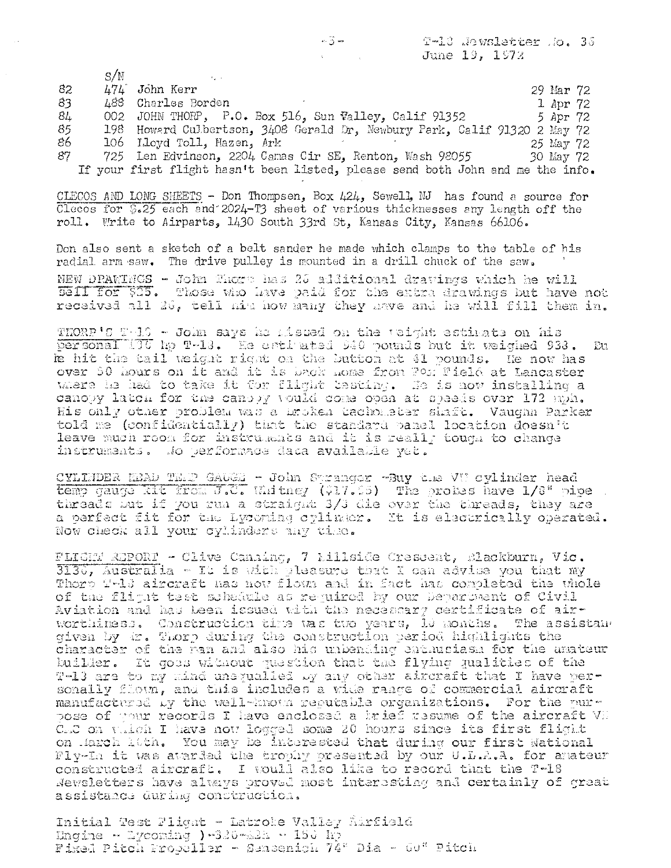$S/N$  $\mathcal{F}_\mathbf{a}$  . 474 John Kerr  $82<sub>1</sub>$ 29 Mar 72 83 488 Charles Borden 1 Apr 72 002 JOHN THORP, P.O. Box 516, Sun Valley, Calif 91352  $8L$ 5 Apr 72 198 Howard Culbertson, 3408 Gerald Dr, Newbury Park, Calif 91320 2 May 72 85 86 106 Iloyd Toll, Hazen, Ark 25 May 72 725 Len Edvinson, 2204 Camas Cir SE, Renton, Wash 98055 87 30 May 72 If your first flight hasn't been listed, please send both John and me the info.

CLECOS AND LONG SHEETS - Don Thompsen, Box 424, Sewell, NJ has found a source for Clecos for  $\S.25$  each and 2024-T3 sheet of various thicknesses any length off the roll. Write to Airparts, 1430 South 33rd St. Kansas City, Kansas 66106.

Don also sent a sketch of a belt sander he made which clamps to the table of his radial arm saw. The drive pulley is mounted in a drill chuck of the saw.

NEW DRAWINGS - John Thore has 26 additional drawings which he will 5011 for \$25. Those who have paid for the extra drawings but have not received all 20, tell mim how many they may and he will fill them in.

THORP'S T-10 - John says he hissed on the veight estimate on his personal [30 hp T-13. Ee estimated 930 pounds but it weighed 938. **Eu** le hit the tail weight right on the button at 41 pounds. He now has over 50 hours on it and it is back home from Fox Field at Lancaster where he had to take it for flight testing. He is now installing a canopy laten for the canopy vould come open at speeds over 172 mph. His only other problem was a broken tachometer shaft. Vaughn Parker told me (confidentially) that the standard panel location doesn't leave much room for instruments and it is really tough to change instruments. Mo performace data available yet.

CYLINDER HARD TEMP GAUGH - John Stranger -Buy the VU cylinder head temp gauge alt from J.C. Unitney (217.25) The probes have 1/8" pipe. threads but if you run a straight 3/3 die over the threads, they are a perfect fit for the Lycoming cylinker. It is electrically operated. Now check all your cylinders any time.

FLIGHT RIPORT - Clive Canning, 7 Lillside Crescent, Blackburn, Vic. 3136, Australia - It is with pleasure that I can advise you that my Thorp T-13 aircraft has now flown and in fact has completed the whole of the flight test substale as required by our Department of Civil Aviation and has been issued with the necessary certificate of airworthiness. Construction time was two years, 10 months. The assistant given by in. Thorp during the construction period highlights the character of the ran and also his unbending enthusiasm for the unateur builder. It goes without question that the flying qualities of the T-13 are to my mind unaqualled by any other aircraft that I have personally floum, and this includes a vide range of commercial aircraft manufactured by the well-known resutable organizations. For the nurpose of your records I have enclosed a brief resume of the aircraft VD C.C on yillon I have now logged some 20 hours since its first flight on larch lith. You may be interested that during our first Mational Fly-In it was avarded the trowly presented by our U.L.A.A. for anateur constructed aircraft. I woull also like to record that the T-18 Newsletters have always proved most interesting and certainly of great assistance during construction.

Initial Test Flight - Latroke Valley Airfield Engine - Lycoming )  $-320$  -Alb  $\sim$  150 hp Fixed Pitch Frogeller - Sensenich 74" Dia - 60" Pitch

 $\sim 10^{11}$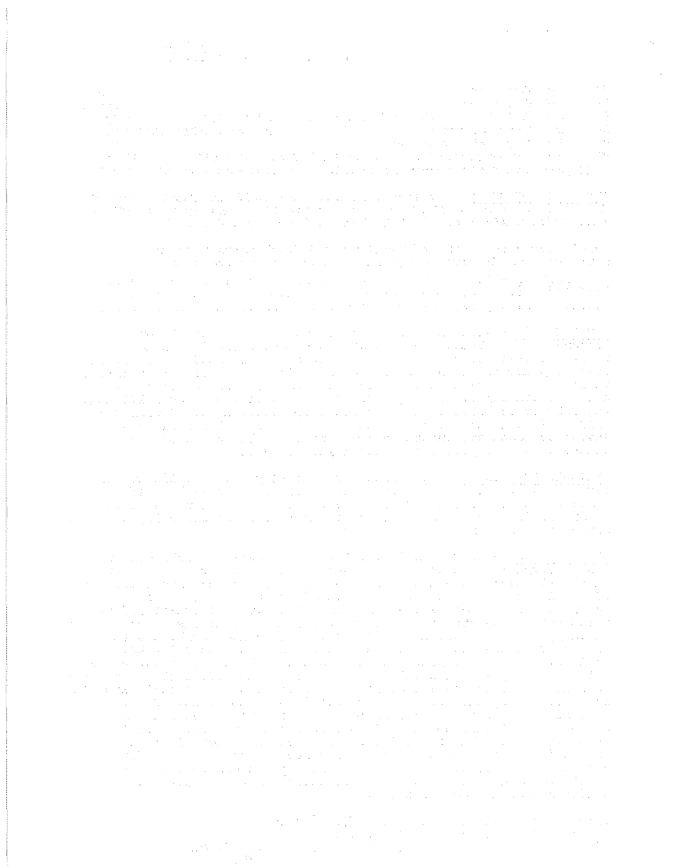# 

 $\mathcal{L}^{\mathcal{L}}$  , where  $\mathcal{L}^{\mathcal{L}}$  is the finite function of  $\mathcal{L}^{\mathcal{L}}$ 

 $\label{eq:2} \mathcal{L} = \frac{2\pi\epsilon}{\pi} \left( \frac{1}{\epsilon} \sum_{i=1}^{\infty} \frac{1}{\epsilon_i} \right) \frac{1}{\epsilon_i} \left( \frac{1}{\epsilon_i} \sum_{i=1}^{\infty} \frac{1}{\epsilon_i} \right)$ 

e de la comunicación de la constitución de la constitución de la constitución de la constitución de la constit<br>En la constitución de la constitución de la constitución de la constitución de la constitución de la constituc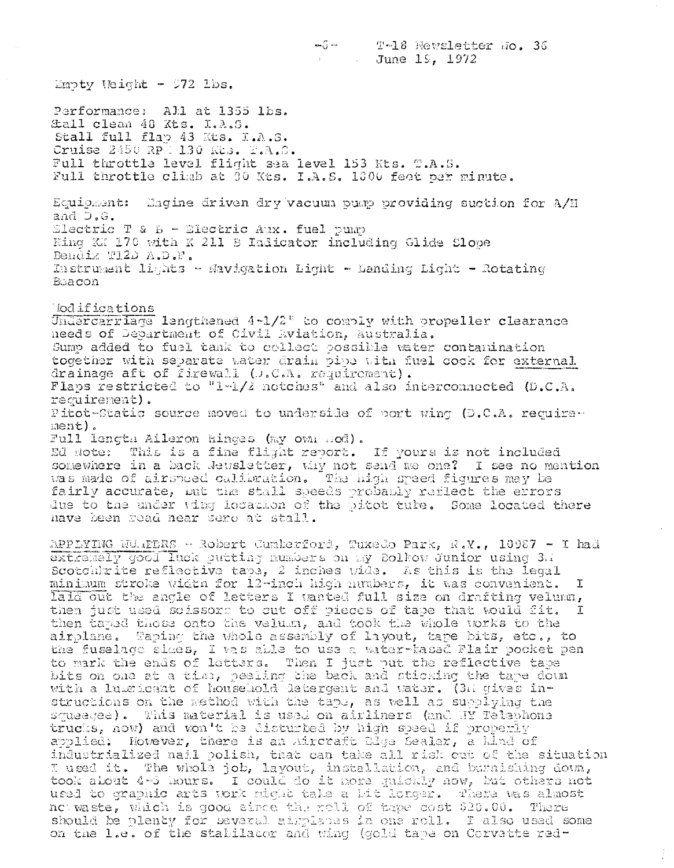June 19, 1972 Empty Weight - 972 lbs. Performance: All at 1355 1bs.<br>Stall clean 48 Kts. I.A.S. Stall full flap 43 Kts. I.A.S. Cruise 2450 RP. 130 Kts. F.A.O. Full throttle level flight sea level 153 Kts. T.A.S. Full throttle climb at 30 Kts. I.A.S. 1800 feet per minute. Equipment: Engine driven dry vacuum pump providing suction for A/H and D.G. Slectric T & B - Slectric Aux. fuel pump King KK 170 with K 211 B Indicator including Glide Slope Bendiz T12D A.D.F. Instrument lights - Mavigation Light - Landing Light - Rotating **Beacon** Modifications Undercarriage lengthened 4-1/2" to comply with propeller clearance needs of Department of Civil Aviation, Australia. Sump added to fuel tank to collect possible water contanination together with separate water drain pipe with fuel cock for external drainage aft of firewall (J.C.A. requirement). Flaps restricted to "1-1/2 notches" and also interconnected (D.C.A. requirement). Pitot-Static source moved to underside of port wing (D.C.A. requirement). Full length Aileron Ringes (my own nod). Ed sote: This is a fine flight report. If yours is not included somewhere in a back Jewsletter, why not send me one? I see no mention was made of airspeed caliaration. The high speed figures may be fairly accurate, but the stall speeds probably reflect the errors due to the under wing location of the pitot tube. Some located there nave been read near zero at stall. APPLYING NU.AEERS - Robert Cumberford, Tuxedo Park, N.Y., 10987 - I had extremely good luck outting numbers on my Bolkow Junior using 3.1 Scotchkrite reflective tapé, 2 inches vide. As this is the legal minimum stroke width for 12-inch high numbers, it was convenient.  $\mathbf{I}$ laid out the angle of letters I wanted full size on drafting velumn, then just used scissore to cut off pieces of tape that would fit. I then taped those onto the velum, and took the whole works to the airplane. Taping the whole assembly of layout, tape bits, etc., to the fuselage sides, I was able to use a water-tased Flair pocket pen to mark the ends of lotters. Then I just put the reflective tage bits on one at a time, peeling the back and sticking the tape down with a lumicant of household detergent and water. (3d gives instructions on the method with the tape, as well as supplying the squeegee). This material is used on airliners (and MY Telephone trucks, now) and won't be disturbed by high speed if properly applied: However, there is an Aircraft Edge Sealer, a kind of industrialized nail polish, that can take all rish out of the situation<br>I used it. The whole job, layout, installation, and burnishing down,<br>took about 4-5 hours. I could do it more guiskly now, but others not used to graphic arts work might take a lit longer. There was almost no waste, which is good since the noll of tape cost \$28.00. There should be plenty for several aimplanes in one roll. I also used some on the l.e. of the stabilator and wing (gold tape on Corvette red-

 $\cos \theta$  and  $\cos \theta$ 

T-18 Newsletter No. 36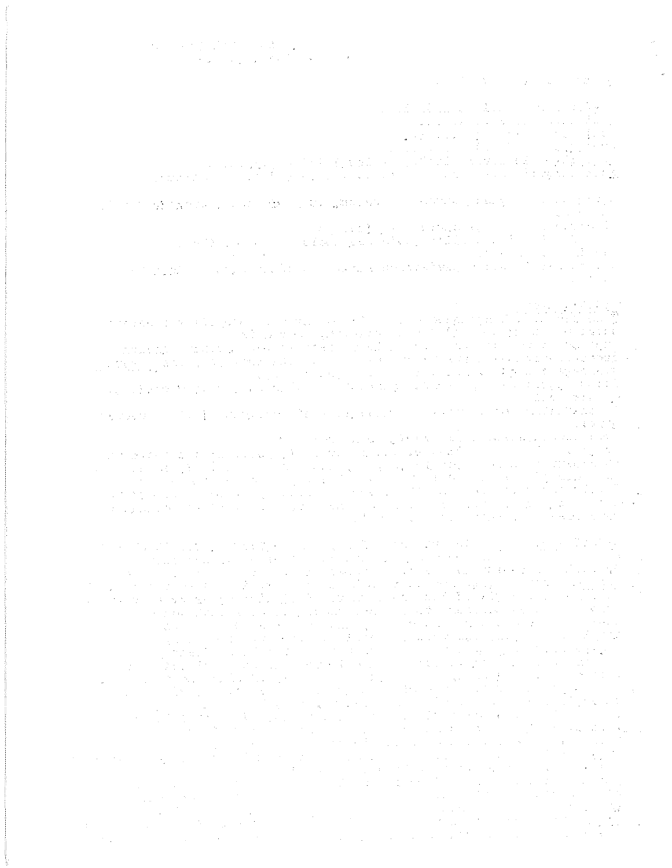## $\label{eq:2.1} \begin{split} \mathcal{A}_{\mathcal{A}}(\mathbf{x})&=\mathcal{A}_{\mathcal{A}}(\mathbf{x})\frac{\partial}{\partial\mathbf{x}}\left(\mathbf{x}^{\mathcal{A}}_{\mathcal{A}}\right)\mathbf{x}^{\mathcal{A}}_{\mathcal{A}}(\mathbf{x})\mathbf{x}^{\mathcal{A}}_{\mathcal{A}}(\mathbf{x})\\ &=\mathcal{A}_{\mathcal{A}}(\mathbf{x})\frac{\partial}{\partial\mathbf{x}}\left(\mathbf{x}^{\mathcal{A}}_{\mathcal{A}}\right)\mathbf{x}^{\mathcal{A}}_{\mathcal{A}}(\mathbf{x})\mathbf{x}^{\mathcal{$

(2) (2) (2) (3) (2) (2) (3) (3) (3) (3)

 $\mathcal{L} = \mathcal{L} \mathcal{L} = \mathcal{L} \mathcal{L}$  and  $\mathcal{L} = \mathcal{L} \mathcal{L}$  , we can consider  $\mathcal{L} \mathcal{L} \mathcal{L} \mathcal{L}$ 

 $\mathbb{R}^n$  , the first product of the state  $\mathbb{R}^n$  , we have the construction of the state of the state of the state of the state of the state of the state of the state of the state of the state of the state of the st  $\label{eq:2.1} \frac{1}{2\pi}\left(\frac{1}{2\pi}\right)^2\left(\frac{1}{2\pi}\right)^2\left(\frac{1}{2\pi}\right)^2.$ 

 $\frac{\partial}{\partial t} \frac{\partial}{\partial t} \frac{\partial}{\partial t} \frac{\partial}{\partial t} \frac{\partial}{\partial t} \frac{\partial}{\partial t} \frac{\partial}{\partial t}$ 

 $\mathcal{A}^{\text{max}}_{\text{max}}$  ,  $\mathcal{A}^{\text{max}}_{\text{max}}$ 

an sa basar a contae do contae an mortal and a sa basar a complex and the contae of the said sufficients

 $\label{eq:1} \mathcal{L}(\mathcal{A})=\mathcal{L}_{\mathcal{A}}\left(\mathcal{L}_{\mathcal{A}}\right)\mathcal{L}_{\mathcal{A}}\left(\mathcal{L}_{\mathcal{A}}\right)=\frac{1}{2}\mathcal{L}_{\mathcal{A}}\left(\mathcal{L}_{\mathcal{A}}\right)\mathcal{L}_{\mathcal{A}}\left(\mathcal{L}_{\mathcal{A}}\right)\mathcal{L}_{\mathcal{A}}\left(\mathcal{L}_{\mathcal{A}}\right)\mathcal{L}_{\mathcal{A}}\left(\mathcal{L}_{\mathcal{A}}\right)\mathcal{L}_{\mathcal{A}}\left(\mathcal{L}_{\mathcal{A}}$  $\sim 10^{-11}$ 

 $\overline{\phantom{a}}$ 

 $\mathcal{A}^{\mathcal{A}}$  $\label{eq:2.1} \mathcal{F}(\mathcal{F}) = \mathcal{F}(\mathcal{F}(\mathcal{F})) = \mathcal{F}(\mathcal{F}(\mathcal{F})) = \mathcal{F}(\mathcal{F})$ 

 $\mathcal{L}^{\mathcal{L}}(\mathcal{L}^{\mathcal{L}})$  . The contribution of  $\mathcal{L}^{\mathcal{L}}$ त पार्टी प

 $\mathcal{F}_{\mathcal{A}}$  .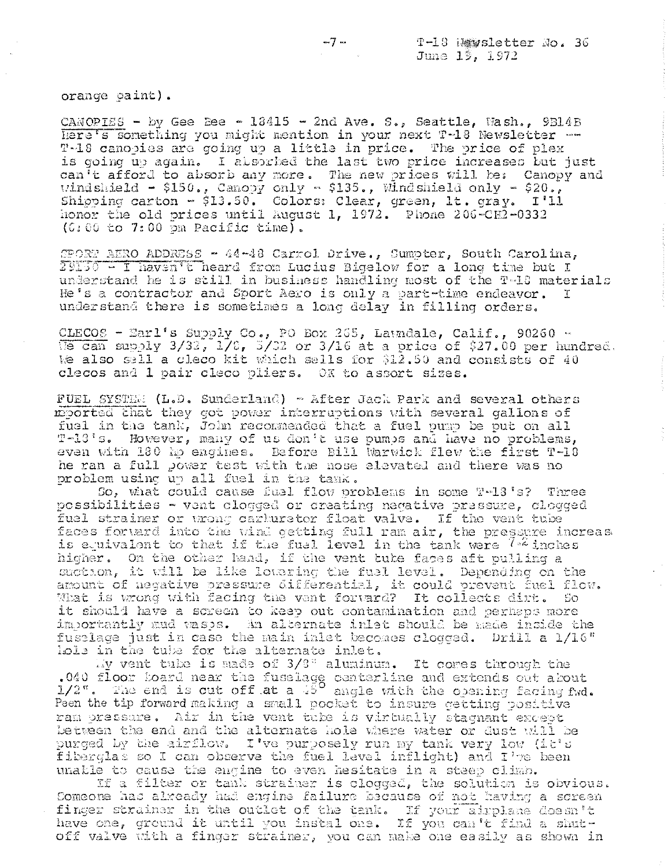orange paint).

CANOPIES - by Gee Bee - 13415 - 2nd Ave. S., Seattle, Wash., 9B14B Here's something you might mention in your next T-18 Newsletter -T-18 canopies are going up a little in price. The price of plex is going up again. I absorbed the last two price increases but just can't afford to absorb any more. The new prices will be: Canopy and windshield - \$150., Canopy only - \$135., Windshield only - \$20., Shioping carton - \$13.50. Colors: Clear, green, 1t. gray. I'll honor the old prices until August 1, 1972. Phone 206-CH2-0332  $(C: 00 to 7:00$  pm Pacific time).

SPORT AERO ADDRESS - 44-48 Carrol Drive., Sumpter, South Carolina, 29150 - I haven't heard from Lucius Bigelow for a long time but I understand he is still in business handling most of the T-18 materials He's a contractor and Sport Aero is only a part-time endeavor.  $\mathcal{I}$ understand there is sometimes a long delay in filling orders.

CLECOS - Earl's Supply Co., PO Box 265, Lawndale, Calif., 90260 -We can supply  $3/32$ ,  $1/6$ ,  $3/32$  or  $3/16$  at a price of  $$27.00$  per hundred. We also sell a cleco kit which sells for \$12.50 and consists of 40 clecos and 1 pair cleco pliers. OK to assort sizes.

FUEL SYSTEM (L.D. Sunderland) - After Jack Park and several others moorted that they got power interruptions with several gallons of fuel in the tank, John recommended that a fuel pump be put on all T-13's. However, many of us don't use pumps and have no problems, even with 180 hp engines. Before Bill Warwick flew the first T-18 he ran a full power test with the nose elevated and there was no problem using up all fuel in the tank.

So, what could cause fuel flow problems in some T-13's? Three possibilities - vent clogged or creating negative pressure, clogged fuel strainer or wrong carburetor float valve. If the vent tube faces fortard into the wind getting full ram air, the pressure increase is equivalent to that if the fuel level in the tank were 7.2 inches higher. On the other hand, if the vent tuke faces aft pulling a suction, it will be like lowaring the fuel level. Depending on the amount of negative pressure differential, it could prevent fuel flow. What is wrong with facing the vent forvard? It collects dirt. So it should have a screen to keep out contamination and perhaps more importantly mud vasos. An alternate inlet should be made inside the fuselage just in case the main inlet becomes cloqged. Drill a 1/16" lole in the tube for the alternate inlet.

My vent tube is made of 3/3" aluminum. It comes through the .040 floor board near the fuselage centerline and extends out about 1/2". The end is cut off at a 450 angle with the opening facing fwd. Peen the tip forward making a small pocket to insure getting positive ram pressure. Air in the vent tuke is virtually stagnant except between the end and the alternate hole where water or dust will be purged by the airflow. I've purposely run my tank very low (it's fiberglas so I can observe the fuel level inflight) and I've been unable to cause the engine to even hesitate in a steep climb.

If a filter or tank strainer is clogged, the solution is obvious. Comeone has already had engine failure because of not having a screen finger strainer in the outlet of the tank. If your airplane doesn't have one, ground it until you instal one. If you can't find a shutoff valve with a finger strainer, you can make one easily as shown in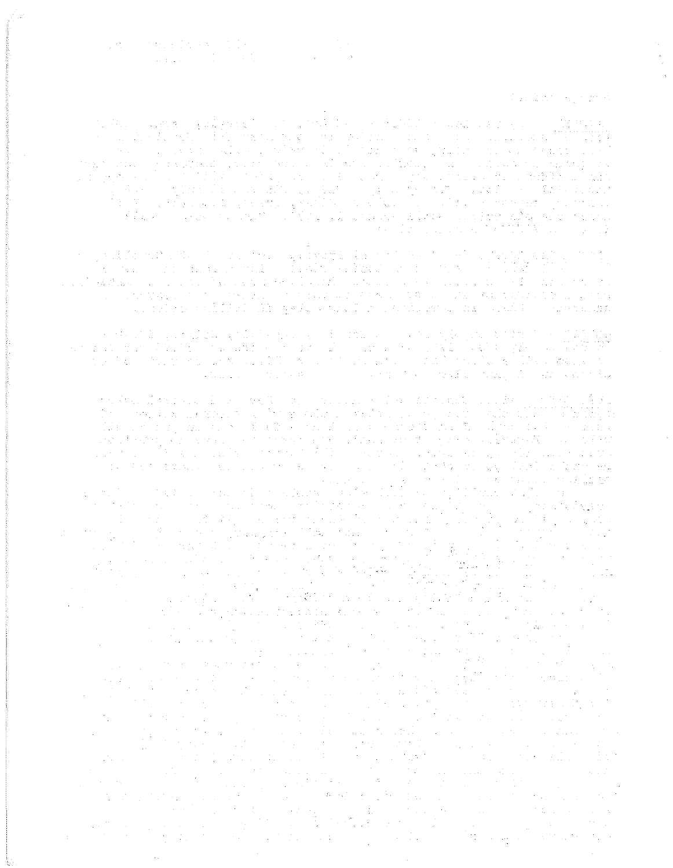### $\mathcal{L}_{\text{max}}$  is a set of  $\mathcal{L}_{\text{max}}$  , and  $\mathcal{L}_{\text{max}}$

oti dall'organizione in programma di controlato di controlato di capitale di controlato di controlato di contro in the people 

and the state of the state of the state of the state of the  $\sqrt{16} \ln \left( 1/\sqrt{10}\right)$  ,  $\sqrt{16} \ln \left( 1/\sqrt{16}\right)$  ,

 $\mathcal{H}^{\pm}$  and  $\sigma_{\rm{eff}}=1$ 

 $\sim$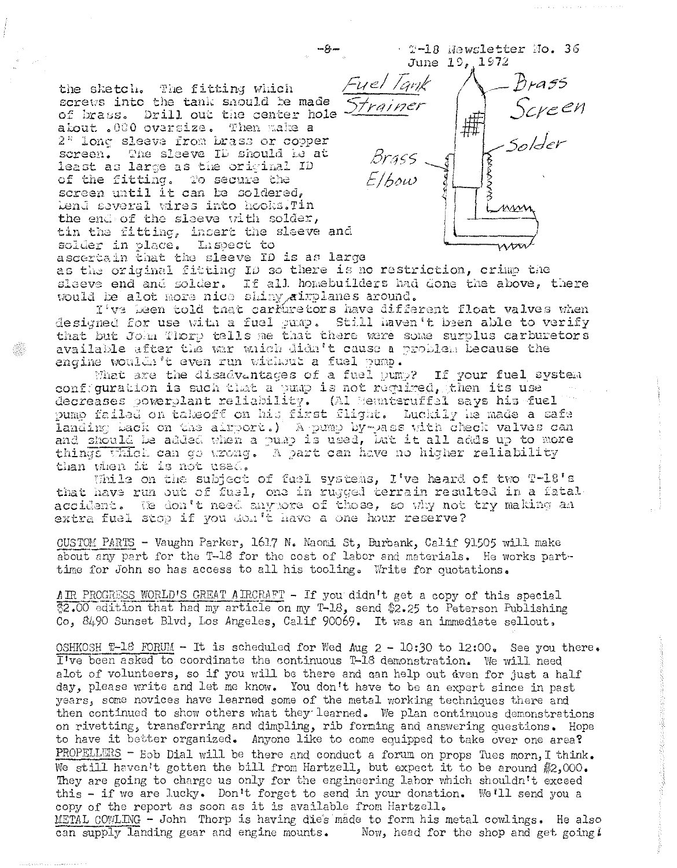T-18 Newsletter No. 36 June 19, 1972 Bra55

the sketch. The fitting which screws into the tank should be made of brass. Drill out the center hole about .080 oversize. Then make a 2" long sleeve from brass or copper screen. The sleeve ID should be at least as large as the original ID of the fitting. To secure the screen until it can be soldered, Lend several wires into hooks.Tin the end of the sleeve with solder, tin the fitting, incert the sleeve and solder in place. Inspect to ascertain that the sleeve ID is as large



as the original fitting ID so there is no restriction, crimp the slaeve end and solder. If all homebuilders had done the above, there<br>would be alot more nice shiny airplanes around.<br>I've been told that carruretors have different float valves when

designed for use with a fuel gump. Still haven't been able to verify that but John Thorp tells me that there were some surplus carburetors available after the war which didn't cause a problem because the engine wouldn't even run without a fuel pump.

What are the disadvantages of a fuel pump? If your fuel system configuration is such that a pump is not required, then its use decreases powerplant reliability. (Al Meunteruffel says his fuel pump failed on takeoff on his first flight. Luckily he made a safe landing Lack on the airport.) A pump by-pass with check valves can and should be added when a pump is used, but it all adds up to more things which can go wrong. A part can have no higher reliability than when it is not used.

Mule on the subject of fuel systems, I've heard of two T-18's that have run out of fuel, one in rugged terrain resulted in a fatal accident. We don't need any ore of those, so why not try making an extra fuel stop if you don't have a one hour reserve?

CUSTOM PARTS - Vaughn Parker, 1617 N. Naomi St, Burbank, Calif 91505 will make about any part for the T-18 for the cost of labor and materials. He works parttime for John so has access to all his tooling. Write for quotations.

AIR PROGRESS WORLD'S GREAT AIRCRAFT - If you didn't get a copy of this special \$2.00 edition that had my article on my T-18, send \$2.25 to Peterson Publishing Co, 8490 Sunset Blvd, Los Angeles, Calif 90069. It was an immediate sellout.

OSHKOSH T-18 FORUM - It is scheduled for Wed Aug 2 - 10:30 to 12:00. See you there. I've been asked to coordinate the continuous T-18 demonstration. We will need alot of volunteers, so if you will be there and can help out aven for just a half day, please write and let me know. You don't have to be an expert since in past years, some novices have learned some of the metal working techniques there and then continued to show others what they learned. We plan continuous demonstrations on rivetting, transferring and dimpling, rib forming and answering questions. Hope to have it better organized. Anyone like to come equipped to take over one area? PROPELLERS - Bob Dial will be there and conduct a forum on props Tues morn, I think. We still haven't gotten the bill from Hartzell, but expect it to be around #2,000. They are going to charge us only for the engineering labor which shouldn't exceed this - if we are lucky. Don't forget to send in your donation. We'll send you a copy of the report as soon as it is available from Hartzell. METAL COWLING - John Thorp is having dies made to form his metal cowlings. He also can supply landing gear and engine mounts. Now, head for the shop and get going!